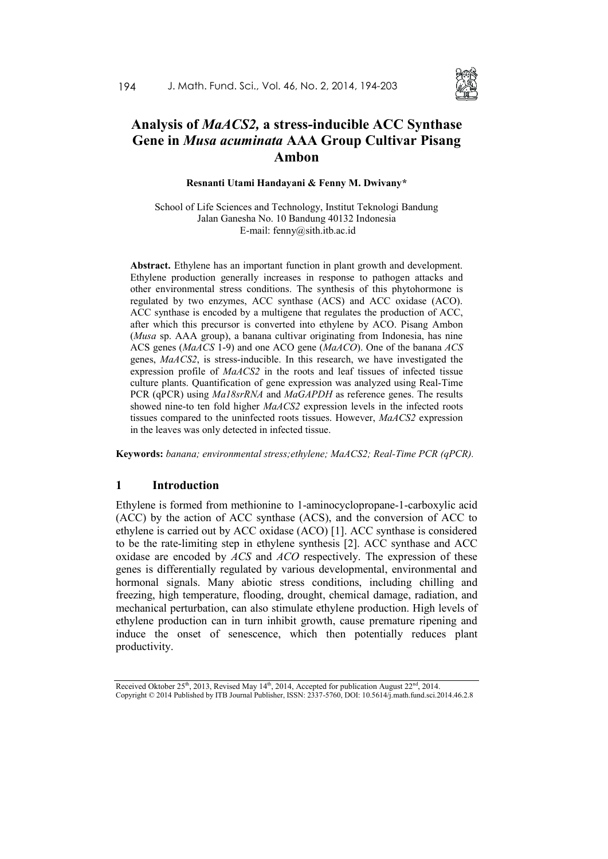

# **Analysis of** *MaACS2,* **a stress-inducible ACC Synthase Gene in** *Musa acuminata* **AAA Group Cultivar Pisang Ambon**

**Resnanti Utami Handayani & Fenny M. Dwivany\***

School of Life Sciences and Technology, Institut Teknologi Bandung Jalan Ganesha No. 10 Bandung 40132 Indonesia E-mail: fenny@sith.itb.ac.id

**Abstract.** Ethylene has an important function in plant growth and development. Ethylene production generally increases in response to pathogen attacks and other environmental stress conditions. The synthesis of this phytohormone is regulated by two enzymes, ACC synthase (ACS) and ACC oxidase (ACO). ACC synthase is encoded by a multigene that regulates the production of ACC, after which this precursor is converted into ethylene by ACO. Pisang Ambon (*Musa* sp. AAA group), a banana cultivar originating from Indonesia, has nine ACS genes (*MaACS* 1-9) and one ACO gene (*MaACO*). One of the banana *ACS* genes, *MaACS2*, is stress-inducible. In this research, we have investigated the expression profile of *MaACS2* in the roots and leaf tissues of infected tissue culture plants. Quantification of gene expression was analyzed using Real-Time PCR (qPCR) using *Ma18srRNA* and *MaGAPDH* as reference genes. The results showed nine-to ten fold higher *MaACS2* expression levels in the infected roots tissues compared to the uninfected roots tissues. However, *MaACS2* expression in the leaves was only detected in infected tissue.

**Keywords:** *banana; environmental stress;ethylene; MaACS2; Real-Time PCR (qPCR).*

### **1 Introduction**

Ethylene is formed from methionine to 1-aminocyclopropane-1-carboxylic acid (ACC) by the action of ACC synthase (ACS), and the conversion of ACC to ethylene is carried out by ACC oxidase (ACO) [1]. ACC synthase is considered to be the rate-limiting step in ethylene synthesis [2]. ACC synthase and ACC oxidase are encoded by *ACS* and *ACO* respectively. The expression of these genes is differentially regulated by various developmental, environmental and hormonal signals. Many abiotic stress conditions, including chilling and freezing, high temperature, flooding, drought, chemical damage, radiation, and mechanical perturbation, can also stimulate ethylene production. High levels of ethylene production can in turn inhibit growth, cause premature ripening and induce the onset of senescence, which then potentially reduces plant productivity.

Received Oktober  $25<sup>th</sup>$ , 2013, Revised May 14<sup>th</sup>, 2014, Accepted for publication August  $22<sup>nd</sup>$ , 2014. Copyright © 2014 Published by ITB Journal Publisher, ISSN: 2337-5760, DOI: 10.5614/j.math.fund.sci.2014.46.2.8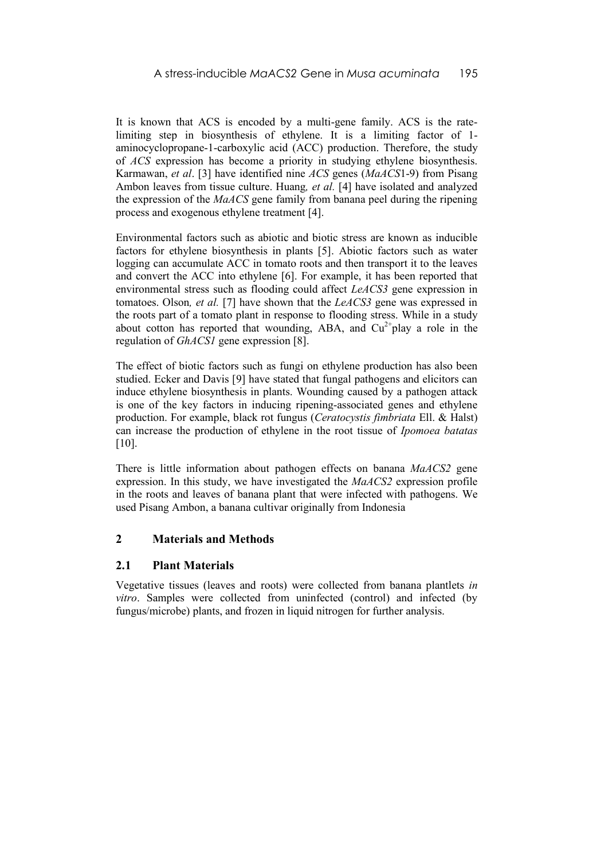It is known that ACS is encoded by a multi-gene family. ACS is the ratelimiting step in biosynthesis of ethylene. It is a limiting factor of 1 aminocyclopropane-1-carboxylic acid (ACC) production. Therefore, the study of *ACS* expression has become a priority in studying ethylene biosynthesis. Karmawan, *et al*. [3] have identified nine *ACS* genes (*MaACS*1-9) from Pisang Ambon leaves from tissue culture. Huang*, et al.* [4] have isolated and analyzed the expression of the *MaACS* gene family from banana peel during the ripening process and exogenous ethylene treatment [4].

Environmental factors such as abiotic and biotic stress are known as inducible factors for ethylene biosynthesis in plants [5]. Abiotic factors such as water logging can accumulate ACC in tomato roots and then transport it to the leaves and convert the ACC into ethylene [6]. For example, it has been reported that environmental stress such as flooding could affect *LeACS3* gene expression in tomatoes. Olson*, et al.* [7] have shown that the *LeACS3* gene was expressed in the roots part of a tomato plant in response to flooding stress. While in a study about cotton has reported that wounding, ABA, and  $Cu^{2+}$ play a role in the regulation of *GhACS1* gene expression [8].

The effect of biotic factors such as fungi on ethylene production has also been studied. Ecker and Davis [9] have stated that fungal pathogens and elicitors can induce ethylene biosynthesis in plants. Wounding caused by a pathogen attack is one of the key factors in inducing ripening-associated genes and ethylene production. For example, black rot fungus (*Ceratocystis fimbriata* Ell. & Halst) can increase the production of ethylene in the root tissue of *Ipomoea batatas* [10].

There is little information about pathogen effects on banana *MaACS2* gene expression. In this study, we have investigated the *MaACS2* expression profile in the roots and leaves of banana plant that were infected with pathogens. We used Pisang Ambon, a banana cultivar originally from Indonesia

# **2 Materials and Methods**

### **2.1 Plant Materials**

Vegetative tissues (leaves and roots) were collected from banana plantlets *in vitro*. Samples were collected from uninfected (control) and infected (by fungus/microbe) plants, and frozen in liquid nitrogen for further analysis.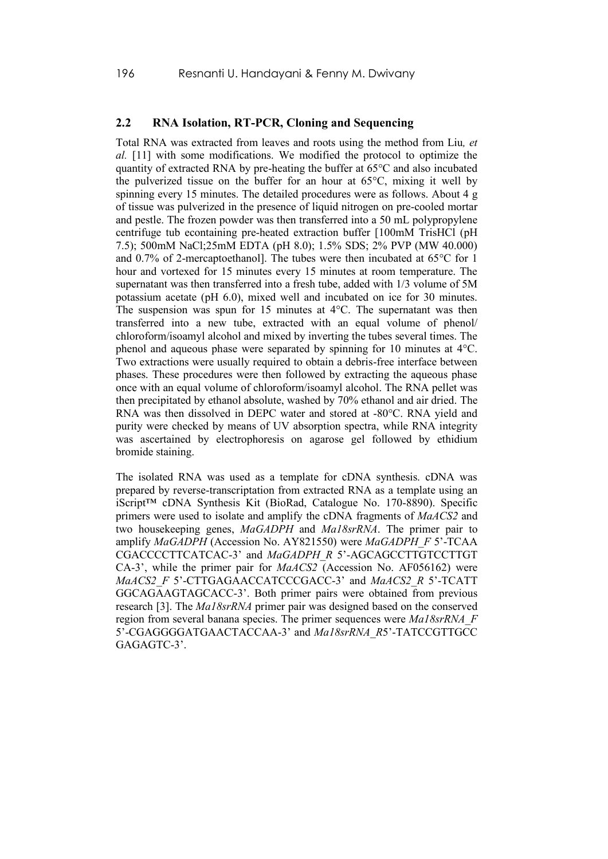### **2.2 RNA Isolation, RT-PCR, Cloning and Sequencing**

Total RNA was extracted from leaves and roots using the method from Liu*, et al.* [11] with some modifications. We modified the protocol to optimize the quantity of extracted RNA by pre-heating the buffer at 65°C and also incubated the pulverized tissue on the buffer for an hour at 65°C, mixing it well by spinning every 15 minutes. The detailed procedures were as follows. About 4 g of tissue was pulverized in the presence of liquid nitrogen on pre-cooled mortar and pestle. The frozen powder was then transferred into a 50 mL polypropylene centrifuge tub econtaining pre-heated extraction buffer [100mM TrisHCl (pH 7.5); 500mM NaCl;25mM EDTA (pH 8.0); 1.5% SDS; 2% PVP (MW 40.000) and 0.7% of 2-mercaptoethanol]. The tubes were then incubated at 65°C for 1 hour and vortexed for 15 minutes every 15 minutes at room temperature. The supernatant was then transferred into a fresh tube, added with 1/3 volume of 5M potassium acetate (pH 6.0), mixed well and incubated on ice for 30 minutes. The suspension was spun for 15 minutes at 4°C. The supernatant was then transferred into a new tube, extracted with an equal volume of phenol/ chloroform/isoamyl alcohol and mixed by inverting the tubes several times. The phenol and aqueous phase were separated by spinning for 10 minutes at 4°C. Two extractions were usually required to obtain a debris-free interface between phases. These procedures were then followed by extracting the aqueous phase once with an equal volume of chloroform/isoamyl alcohol. The RNA pellet was then precipitated by ethanol absolute, washed by 70% ethanol and air dried. The RNA was then dissolved in DEPC water and stored at -80°C. RNA yield and purity were checked by means of UV absorption spectra, while RNA integrity was ascertained by electrophoresis on agarose gel followed by ethidium bromide staining.

The isolated RNA was used as a template for cDNA synthesis. cDNA was prepared by reverse-transcriptation from extracted RNA as a template using an iScript™ cDNA Synthesis Kit (BioRad, Catalogue No. 170-8890). Specific primers were used to isolate and amplify the cDNA fragments of *MaACS2* and two housekeeping genes, *MaGADPH* and *Ma18srRNA*. The primer pair to amplify *MaGADPH* (Accession No. AY821550) were *MaGADPH\_F* 5'-TCAA CGACCCCTTCATCAC-3' and *MaGADPH\_R* 5'-AGCAGCCTTGTCCTTGT CA-3', while the primer pair for *MaACS2* (Accession No. AF056162) were *MaACS2\_F* 5'-CTTGAGAACCATCCCGACC-3' and *MaACS2\_R* 5'-TCATT GGCAGAAGTAGCACC-3'. Both primer pairs were obtained from previous research [3]. The *Ma18srRNA* primer pair was designed based on the conserved region from several banana species. The primer sequences were *Ma18srRNA\_F* 5'-CGAGGGGATGAACTACCAA-3' and *Ma18srRNA\_R*5'-TATCCGTTGCC GAGAGTC-3'.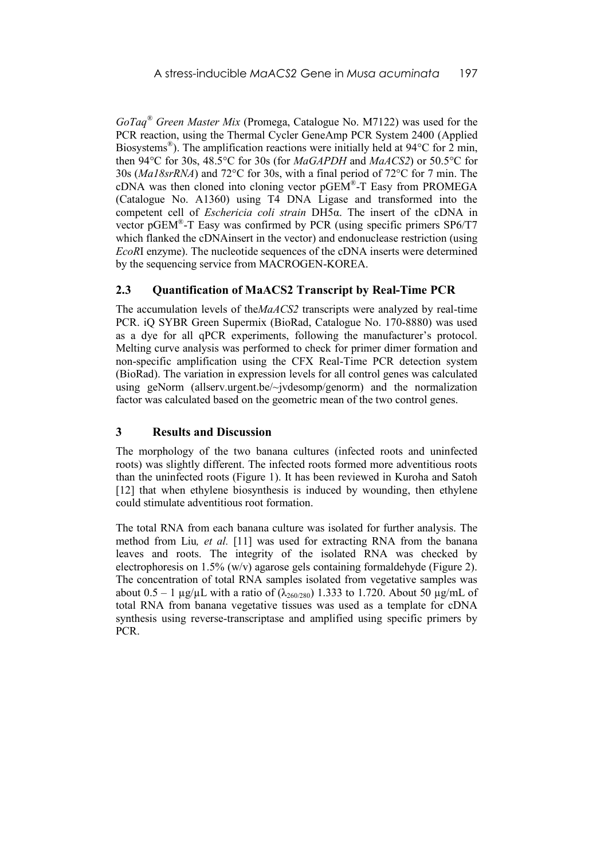*GoTaq® Green Master Mix* (Promega, Catalogue No. M7122) was used for the PCR reaction, using the Thermal Cycler GeneAmp PCR System 2400 (Applied Biosystems<sup>®</sup>). The amplification reactions were initially held at 94°C for 2 min, then 94°C for 30s, 48.5°C for 30s (for *MaGAPDH* and *MaACS2*) or 50.5°C for 30s (*Ma18srRNA*) and 72°C for 30s, with a final period of 72°C for 7 min. The cDNA was then cloned into cloning vector  $pGEM^*$ -T Easy from PROMEGA (Catalogue No. A1360) using T4 DNA Ligase and transformed into the competent cell of *Eschericia coli strain* DH5α. The insert of the cDNA in vector pGEM®-T Easy was confirmed by PCR (using specific primers  $SP6/T7$ which flanked the cDNAinsert in the vector) and endonuclease restriction (using *EcoR*I enzyme). The nucleotide sequences of the cDNA inserts were determined by the sequencing service from MACROGEN-KOREA.

# **2.3 Quantification of MaACS2 Transcript by Real-Time PCR**

The accumulation levels of the*MaACS2* transcripts were analyzed by real-time PCR. iQ SYBR Green Supermix (BioRad, Catalogue No. 170-8880) was used as a dye for all qPCR experiments, following the manufacturer's protocol. Melting curve analysis was performed to check for primer dimer formation and non-specific amplification using the CFX Real-Time PCR detection system (BioRad). The variation in expression levels for all control genes was calculated using geNorm (allserv.urgent.be/~jvdesomp/genorm) and the normalization factor was calculated based on the geometric mean of the two control genes.

### **3 Results and Discussion**

The morphology of the two banana cultures (infected roots and uninfected roots) was slightly different. The infected roots formed more adventitious roots than the uninfected roots (Figure 1). It has been reviewed in Kuroha and Satoh [12] that when ethylene biosynthesis is induced by wounding, then ethylene could stimulate adventitious root formation.

The total RNA from each banana culture was isolated for further analysis. The method from Liu*, et al.* [11] was used for extracting RNA from the banana leaves and roots. The integrity of the isolated RNA was checked by electrophoresis on 1.5% (w/v) agarose gels containing formaldehyde (Figure 2). The concentration of total RNA samples isolated from vegetative samples was about  $0.5 - 1 \mu g/\mu L$  with a ratio of  $(\lambda_{260/280})$  1.333 to 1.720. About 50  $\mu g/mL$  of total RNA from banana vegetative tissues was used as a template for cDNA synthesis using reverse-transcriptase and amplified using specific primers by PCR.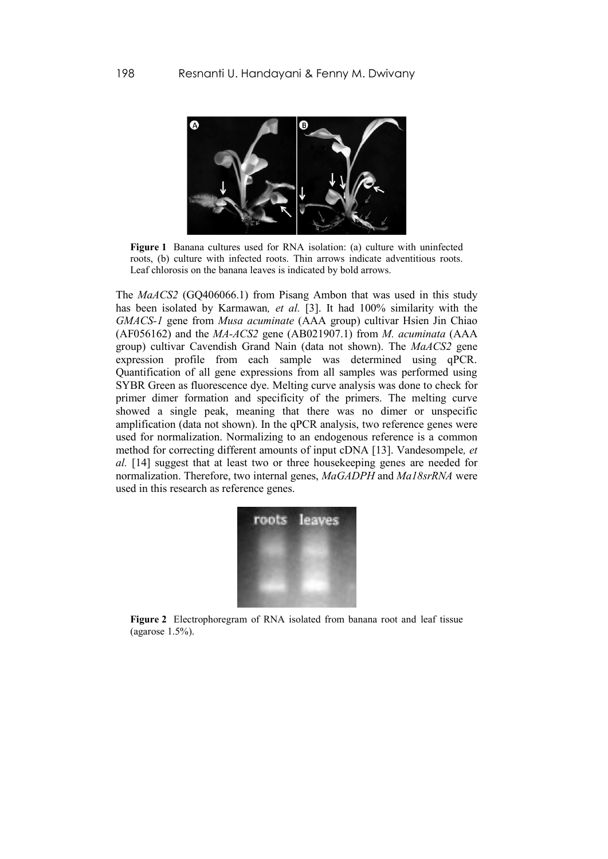

**Figure 1** Banana cultures used for RNA isolation: (a) culture with uninfected roots, (b) culture with infected roots. Thin arrows indicate adventitious roots. Leaf chlorosis on the banana leaves is indicated by bold arrows.

The *MaACS2* [\(GQ406066.1\)](http://www.ncbi.nlm.nih.gov/nucleotide/256807284?report=genbank&log$=nucltop&blast_rank=1&RID=DCJ7S47U01S) from Pisang Ambon that was used in this study has been isolated by Karmawan*, et al.* [3]. It had 100% similarity with the *GMACS-1* gene from *Musa acuminate* (AAA group) cultivar Hsien Jin Chiao (AF056162) and the *MA-ACS2* gene [\(AB021907.1\)](http://www.ncbi.nlm.nih.gov/nucleotide/6009526?report=genbank&log$=nuclalign&blast_rank=3&RID=DCJ7S47U01S) from *M. acuminata* (AAA group) cultivar Cavendish Grand Nain (data not shown). The *MaACS2* gene expression profile from each sample was determined using qPCR. Quantification of all gene expressions from all samples was performed using SYBR Green as fluorescence dye. Melting curve analysis was done to check for primer dimer formation and specificity of the primers. The melting curve showed a single peak, meaning that there was no dimer or unspecific amplification (data not shown). In the qPCR analysis, two reference genes were used for normalization. Normalizing to an endogenous reference is a common method for correcting different amounts of input cDNA [13]. Vandesompele*, et al.* [14] suggest that at least two or three housekeeping genes are needed for normalization. Therefore, two internal genes, *MaGADPH* and *Ma18srRNA* were used in this research as reference genes.



**Figure 2** Electrophoregram of RNA isolated from banana root and leaf tissue (agarose 1.5%).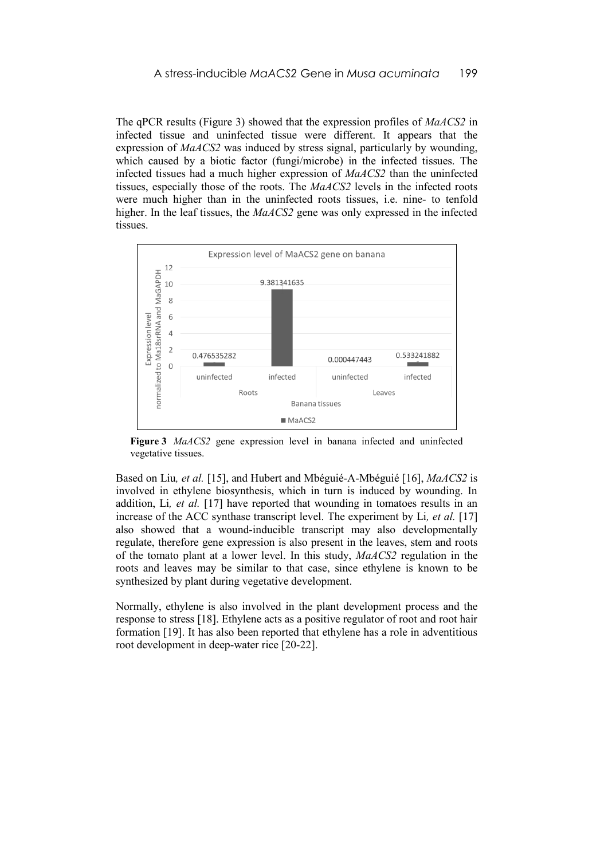The qPCR results (Figure 3) showed that the expression profiles of *MaACS2* in infected tissue and uninfected tissue were different. It appears that the expression of *MaACS2* was induced by stress signal, particularly by wounding, which caused by a biotic factor (fungi/microbe) in the infected tissues. The infected tissues had a much higher expression of *MaACS2* than the uninfected tissues, especially those of the roots. The *MaACS2* levels in the infected roots were much higher than in the uninfected roots tissues, i.e. nine- to tenfold higher. In the leaf tissues, the *MaACS2* gene was only expressed in the infected tissues.



**Figure 3** *MaACS2* gene expression level in banana infected and uninfected vegetative tissues.

Based on Liu*, et al.* [15], and Hubert and Mbéguié-A-Mbéguié [16], *MaACS2* is involved in ethylene biosynthesis, which in turn is induced by wounding. In addition, Li*, et al.* [17] have reported that wounding in tomatoes results in an increase of the ACC synthase transcript level. The experiment by Li*, et al.* [17] also showed that a wound-inducible transcript may also developmentally regulate, therefore gene expression is also present in the leaves, stem and roots of the tomato plant at a lower level. In this study, *MaACS2* regulation in the roots and leaves may be similar to that case, since ethylene is known to be synthesized by plant during vegetative development.

Normally, ethylene is also involved in the plant development process and the response to stress [18]. Ethylene acts as a positive regulator of root and root hair formation [19]. It has also been reported that ethylene has a role in adventitious root development in deep-water rice [20-22].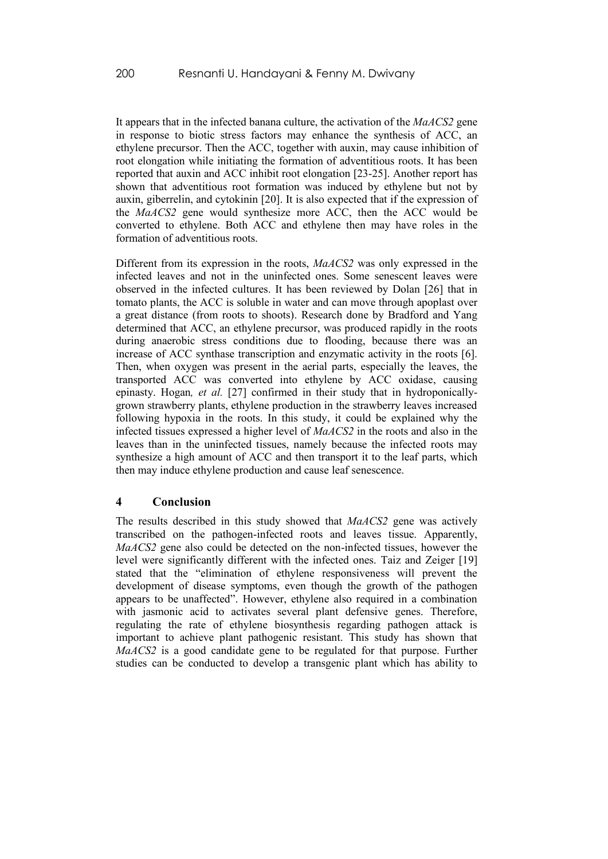It appears that in the infected banana culture, the activation of the *MaACS2* gene in response to biotic stress factors may enhance the synthesis of ACC, an ethylene precursor. Then the ACC, together with auxin, may cause inhibition of root elongation while initiating the formation of adventitious roots. It has been reported that auxin and ACC inhibit root elongation [23-25]. Another report has shown that adventitious root formation was induced by ethylene but not by auxin, giberrelin, and cytokinin [20]. It is also expected that if the expression of the *MaACS2* gene would synthesize more ACC, then the ACC would be converted to ethylene. Both ACC and ethylene then may have roles in the formation of adventitious roots.

Different from its expression in the roots, *MaACS2* was only expressed in the infected leaves and not in the uninfected ones. Some senescent leaves were observed in the infected cultures. It has been reviewed by Dolan [26] that in tomato plants, the ACC is soluble in water and can move through apoplast over a great distance (from roots to shoots). Research done by Bradford and Yang determined that ACC, an ethylene precursor, was produced rapidly in the roots during anaerobic stress conditions due to flooding, because there was an increase of ACC synthase transcription and enzymatic activity in the roots [6]. Then, when oxygen was present in the aerial parts, especially the leaves, the transported ACC was converted into ethylene by ACC oxidase, causing epinasty. Hogan*, et al.* [27] confirmed in their study that in hydroponicallygrown strawberry plants, ethylene production in the strawberry leaves increased following hypoxia in the roots. In this study, it could be explained why the infected tissues expressed a higher level of *MaACS2* in the roots and also in the leaves than in the uninfected tissues, namely because the infected roots may synthesize a high amount of ACC and then transport it to the leaf parts, which then may induce ethylene production and cause leaf senescence.

### **4 Conclusion**

The results described in this study showed that *MaACS2* gene was actively transcribed on the pathogen-infected roots and leaves tissue. Apparently, *MaACS2* gene also could be detected on the non-infected tissues, however the level were significantly different with the infected ones. Taiz and Zeiger [19] stated that the "elimination of ethylene responsiveness will prevent the development of disease symptoms, even though the growth of the pathogen appears to be unaffected". However, ethylene also required in a combination with jasmonic acid to activates several plant defensive genes. Therefore, regulating the rate of ethylene biosynthesis regarding pathogen attack is important to achieve plant pathogenic resistant. This study has shown that *MaACS2* is a good candidate gene to be regulated for that purpose. Further studies can be conducted to develop a transgenic plant which has ability to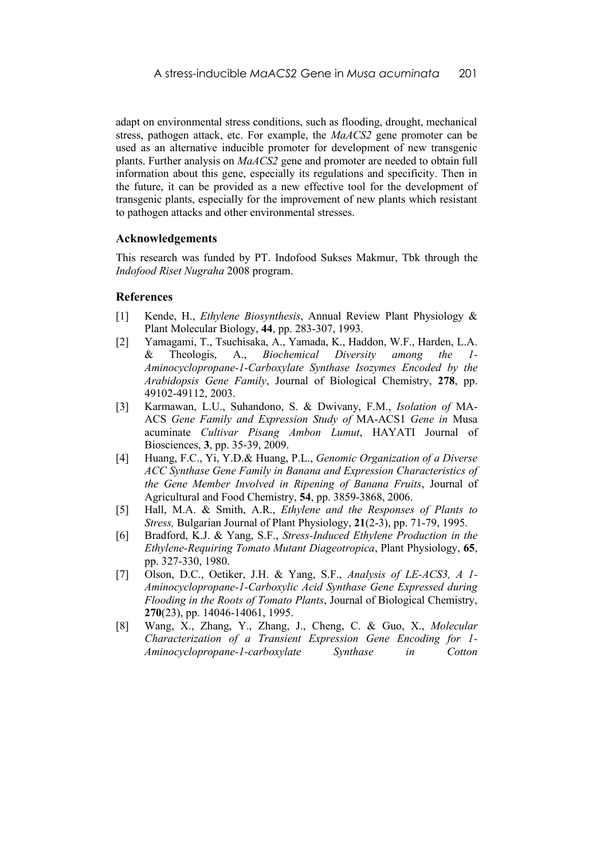adapt on environmental stress conditions, such as flooding, drought, mechanical stress, pathogen attack, etc. For example, the *MaACS2* gene promoter can be used as an alternative inducible promoter for development of new transgenic plants. Further analysis on *MaACS2* gene and promoter are needed to obtain full information about this gene, especially its regulations and specificity. Then in the future, it can be provided as a new effective tool for the development of transgenic plants, especially for the improvement of new plants which resistant to pathogen attacks and other environmental stresses.

#### **Acknowledgements**

This research was funded by PT. Indofood Sukses Makmur, Tbk through the *Indofood Riset Nugraha* 2008 program.

#### **References**

- [1] Kende, H., *Ethylene Biosynthesis*, Annual Review Plant Physiology & Plant Molecular Biology, **44**, pp. 283-307, 1993.
- [2] Yamagami, T., Tsuchisaka, A., Yamada, K., Haddon, W.F., Harden, L.A. & Theologis, A., *Biochemical Diversity among the 1- Aminocyclopropane-1-Carboxylate Synthase Isozymes Encoded by the Arabidopsis Gene Family*, Journal of Biological Chemistry, **278**, pp. 49102-49112, 2003.
- [3] Karmawan, L.U., Suhandono, S. & Dwivany, F.M., *Isolation of* MA-ACS *Gene Family and Expression Study of* MA-ACS1 *Gene in* Musa acuminate *Cultivar Pisang Ambon Lumut*, HAYATI Journal of Biosciences, **3**, pp. 35-39, 2009.
- [4] Huang, F.C., Yi, Y.D.& Huang, P.L., *Genomic Organization of a Diverse ACC Synthase Gene Family in Banana and Expression Characteristics of the Gene Member Involved in Ripening of Banana Fruits*, Journal of Agricultural and Food Chemistry, **54**, pp. 3859-3868, 2006.
- [5] Hall, M.A. & Smith, A.R., *Ethylene and the Responses of Plants to Stress,* Bulgarian Journal of Plant Physiology, **21**(2-3), pp. 71-79, 1995.
- [6] Bradford, K.J. & Yang, S.F., *Stress-Induced Ethylene Production in the Ethylene-Requiring Tomato Mutant Diageotropica*, Plant Physiology, **65**, pp. 327-330, 1980.
- [7] Olson, D.C., Oetiker, J.H. & Yang, S.F., *Analysis of LE-ACS3, A 1- Aminocyclopropane-1-Carboxylic Acid Synthase Gene Expressed during Flooding in the Roots of Tomato Plants*, Journal of Biological Chemistry, **270**(23), pp. 14046-14061, 1995.
- [8] Wang, X., Zhang, Y., Zhang, J., Cheng, C. & Guo, X., *Molecular Characterization of a Transient Expression Gene Encoding for 1- Aminocyclopropane-1-carboxylate Synthase in Cotton*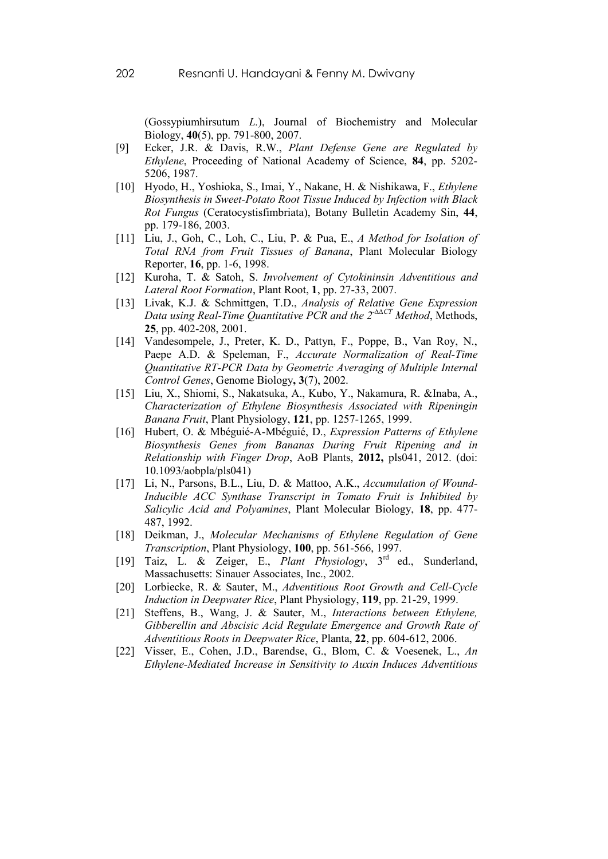(Gossypiumhirsutum *L.*), Journal of Biochemistry and Molecular Biology, **40**(5), pp. 791-800, 2007.

- [9] Ecker, J.R. & Davis, R.W., *Plant Defense Gene are Regulated by Ethylene*, Proceeding of National Academy of Science, **84**, pp. 5202- 5206, 1987.
- [10] Hyodo, H., Yoshioka, S., Imai, Y., Nakane, H. & Nishikawa, F., *Ethylene Biosynthesis in Sweet-Potato Root Tissue Induced by Infection with Black Rot Fungus* (Ceratocystisfimbriata), Botany Bulletin Academy Sin, **44**, pp. 179-186, 2003.
- [11] Liu, J., Goh, C., Loh, C., Liu, P. & Pua, E., *A Method for Isolation of Total RNA from Fruit Tissues of Banana*, Plant Molecular Biology Reporter, **16**, pp. 1-6, 1998.
- [12] Kuroha, T. & Satoh, S. *Involvement of Cytokininsin Adventitious and Lateral Root Formation*, Plant Root, **1**, pp. 27-33, 2007.
- [13] Livak, K.J. & Schmittgen, T.D., *Analysis of Relative Gene Expression Data using Real-Time Quantitative PCR and the 2-∆∆CT Method*, Methods, **25**, pp. 402-208, 2001.
- [14] Vandesompele, J., Preter, K. D., Pattyn, F., Poppe, B., Van Roy, N., Paepe A.D. & Speleman, F., *Accurate Normalization of Real-Time Quantitative RT-PCR Data by Geometric Averaging of Multiple Internal Control Genes*, Genome Biology**, 3**(7), 2002.
- [15] Liu, X., Shiomi, S., Nakatsuka, A., Kubo, Y., Nakamura, R. &Inaba, A., *Characterization of Ethylene Biosynthesis Associated with Ripeningin Banana Fruit*, Plant Physiology, **121**, pp. 1257-1265, 1999.
- [16] Hubert, O. & Mbéguié-A-Mbéguié, D., *Expression Patterns of Ethylene Biosynthesis Genes from Bananas During Fruit Ripening and in Relationship with Finger Drop*, AoB Plants, **2012,** pls041, 2012. (doi: 10.1093/aobpla/pls041)
- [17] Li, N., Parsons, B.L., Liu, D. & Mattoo, A.K., *Accumulation of Wound-Inducible ACC Synthase Transcript in Tomato Fruit is Inhibited by Salicylic Acid and Polyamines*, Plant Molecular Biology, **18**, pp. 477- 487, 1992.
- [18] Deikman, J., *Molecular Mechanisms of Ethylene Regulation of Gene Transcription*, Plant Physiology, **100**, pp. 561-566, 1997.
- [19] Taiz, L. & Zeiger, E., *Plant Physiology*, 3rd ed., Sunderland, Massachusetts: Sinauer Associates, Inc., 2002.
- [20] Lorbiecke, R. & Sauter, M., *Adventitious Root Growth and Cell-Cycle Induction in Deepwater Rice*, Plant Physiology, **119**, pp. 21-29, 1999.
- [21] Steffens, B., Wang, J. & Sauter, M., *Interactions between Ethylene, Gibberellin and Abscisic Acid Regulate Emergence and Growth Rate of Adventitious Roots in Deepwater Rice*, Planta, **22**, pp. 604-612, 2006.
- [22] Visser, E., Cohen, J.D., Barendse, G., Blom, C. & Voesenek, L., *An Ethylene-Mediated Increase in Sensitivity to Auxin Induces Adventitious*